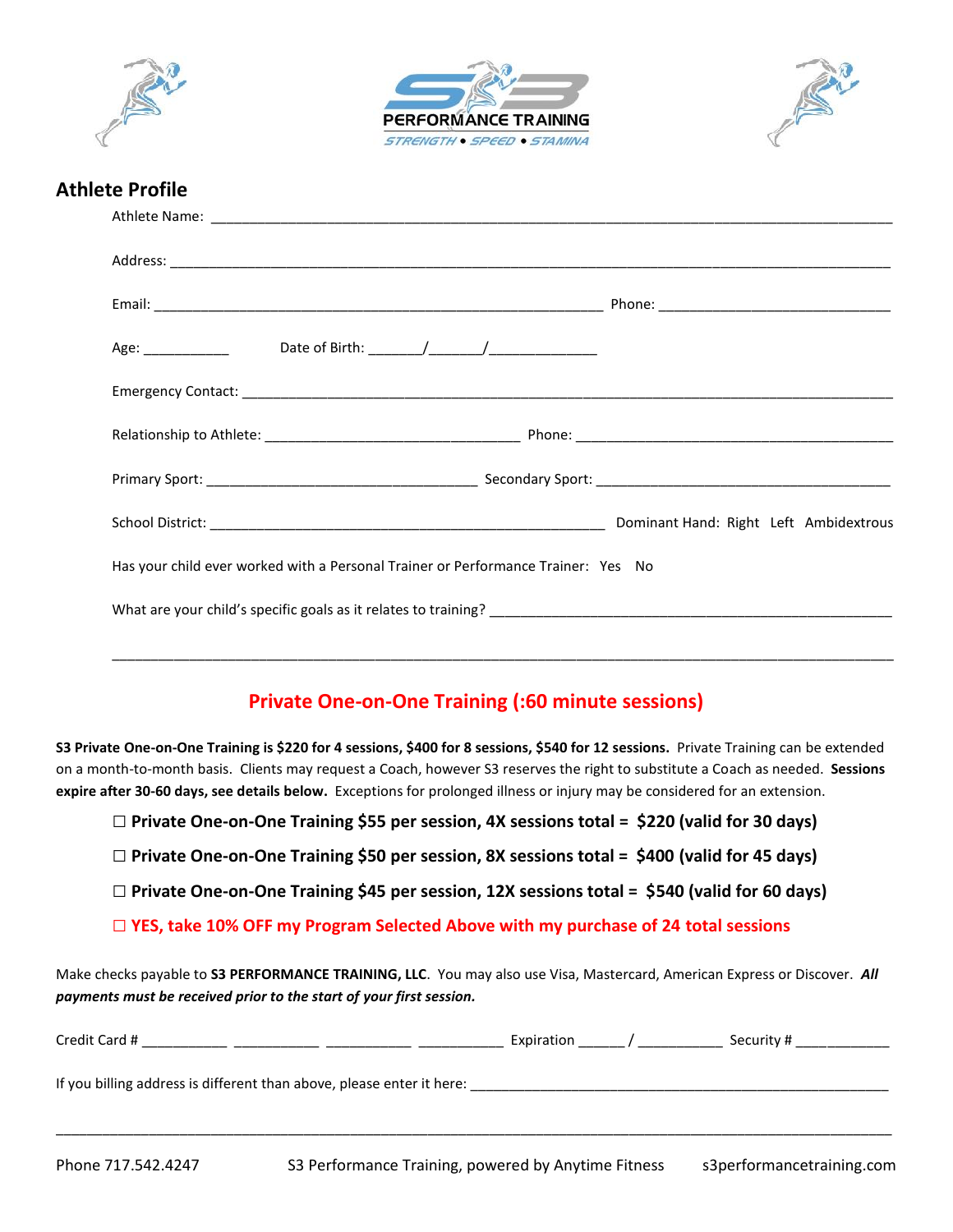





## **Athlete Profile**

| Has your child ever worked with a Personal Trainer or Performance Trainer: Yes No |  |
|-----------------------------------------------------------------------------------|--|
|                                                                                   |  |
|                                                                                   |  |

## **Private One-on-One Training (:60 minute sessions)**

**S3 Private One-on-One Training is \$220 for 4 sessions, \$400 for 8 sessions, \$540 for 12 sessions.** Private Training can be extended on a month-to-month basis. Clients may request a Coach, however S3 reserves the right to substitute a Coach as needed. **Sessions expire after 30-60 days, see details below.** Exceptions for prolonged illness or injury may be considered for an extension.

- **□ Private One-on-One Training \$55 per session, 4X sessions total = \$220 (valid for 30 days)**
- **□ Private One-on-One Training \$50 per session, 8X sessions total = \$400 (valid for 45 days)**
- **□ Private One-on-One Training \$45 per session, 12X sessions total = \$540 (valid for 60 days)**
- **□ YES, take 10% OFF my Program Selected Above with my purchase of 24 total sessions**

Make checks payable to **S3 PERFORMANCE TRAINING, LLC**. You may also use Visa, Mastercard, American Express or Discover. *All payments must be received prior to the start of your first session.*

| Credit Card #                                                         | Expiration | Security # |
|-----------------------------------------------------------------------|------------|------------|
| If you billing address is different than above, please enter it here: |            |            |

\_\_\_\_\_\_\_\_\_\_\_\_\_\_\_\_\_\_\_\_\_\_\_\_\_\_\_\_\_\_\_\_\_\_\_\_\_\_\_\_\_\_\_\_\_\_\_\_\_\_\_\_\_\_\_\_\_\_\_\_\_\_\_\_\_\_\_\_\_\_\_\_\_\_\_\_\_\_\_\_\_\_\_\_\_\_\_\_\_\_\_\_\_\_\_\_\_\_\_\_\_\_\_\_\_\_\_\_